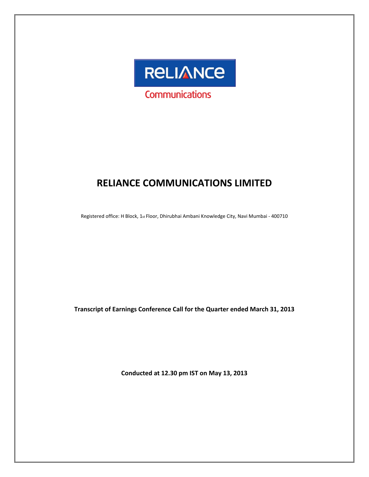

# **RELIANCE COMMUNICATIONS LIMITED**

Registered office: H Block, 1st Floor, Dhirubhai Ambani Knowledge City, Navi Mumbai ‐ 400710

**Transcript of Earnings Conference Call for the Quarter ended March 31, 2013**

**Conducted at 12.30 pm IST on May 13, 2013**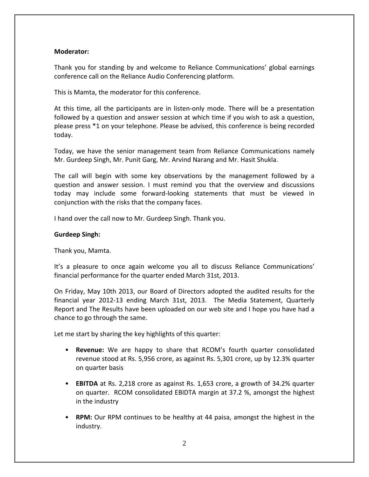# **Moderator:**

Thank you for standing by and welcome to Reliance Communications' global earnings conference call on the Reliance Audio Conferencing platform.

This is Mamta, the moderator for this conference.

At this time, all the participants are in listen-only mode. There will be a presentation followed by a question and answer session at which time if you wish to ask a question, please press \*1 on your telephone. Please be advised, this conference is being recorded today.

Today, we have the senior management team from Reliance Communications namely Mr. Gurdeep Singh, Mr. Punit Garg, Mr. Arvind Narang and Mr. Hasit Shukla.

The call will begin with some key observations by the management followed by a question and answer session. I must remind you that the overview and discussions today may include some forward‐looking statements that must be viewed in conjunction with the risks that the company faces.

I hand over the call now to Mr. Gurdeep Singh. Thank you.

# **Gurdeep Singh:**

Thank you, Mamta.

It's a pleasure to once again welcome you all to discuss Reliance Communications' financial performance for the quarter ended March 31st, 2013.

On Friday, May 10th 2013, our Board of Directors adopted the audited results for the financial year 2012‐13 ending March 31st, 2013. The Media Statement, Quarterly Report and The Results have been uploaded on our web site and I hope you have had a chance to go through the same.

Let me start by sharing the key highlights of this quarter:

- **Revenue:** We are happy to share that RCOM's fourth quarter consolidated revenue stood at Rs. 5,956 crore, as against Rs. 5,301 crore, up by 12.3% quarter on quarter basis
- **EBITDA** at Rs. 2,218 crore as against Rs. 1,653 crore, a growth of 34.2% quarter on quarter. RCOM consolidated EBIDTA margin at 37.2 %, amongst the highest in the industry
- **RPM:** Our RPM continues to be healthy at 44 paisa, amongst the highest in the industry.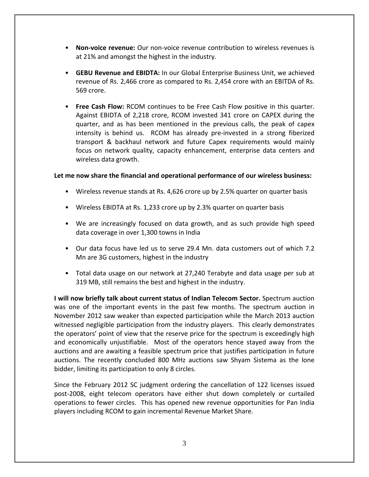- **Non‐voice revenue:** Our non‐voice revenue contribution to wireless revenues is at 21% and amongst the highest in the industry.
- **GEBU Revenue and EBIDTA:** In our Global Enterprise Business Unit, we achieved revenue of Rs. 2,466 crore as compared to Rs. 2,454 crore with an EBITDA of Rs. 569 crore.
- **Free Cash Flow:** RCOM continues to be Free Cash Flow positive in this quarter. Against EBIDTA of 2,218 crore, RCOM invested 341 crore on CAPEX during the quarter, and as has been mentioned in the previous calls, the peak of capex intensity is behind us. RCOM has already pre‐invested in a strong fiberized transport & backhaul network and future Capex requirements would mainly focus on network quality, capacity enhancement, enterprise data centers and wireless data growth.

# **Let me now share the financial and operational performance of our wireless business:**

- Wireless revenue stands at Rs. 4,626 crore up by 2.5% quarter on quarter basis
- Wireless EBIDTA at Rs. 1,233 crore up by 2.3% quarter on quarter basis
- We are increasingly focused on data growth, and as such provide high speed data coverage in over 1,300 towns in India
- Our data focus have led us to serve 29.4 Mn. data customers out of which 7.2 Mn are 3G customers, highest in the industry
- Total data usage on our network at 27,240 Terabyte and data usage per sub at 319 MB, still remains the best and highest in the industry.

**I will now briefly talk about current status of Indian Telecom Sector.** Spectrum auction was one of the important events in the past few months. The spectrum auction in November 2012 saw weaker than expected participation while the March 2013 auction witnessed negligible participation from the industry players. This clearly demonstrates the operators' point of view that the reserve price for the spectrum is exceedingly high and economically unjustifiable. Most of the operators hence stayed away from the auctions and are awaiting a feasible spectrum price that justifies participation in future auctions. The recently concluded 800 MHz auctions saw Shyam Sistema as the lone bidder, limiting its participation to only 8 circles.

Since the February 2012 SC judgment ordering the cancellation of 122 licenses issued post‐2008, eight telecom operators have either shut down completely or curtailed operations to fewer circles. This has opened new revenue opportunities for Pan India players including RCOM to gain incremental Revenue Market Share.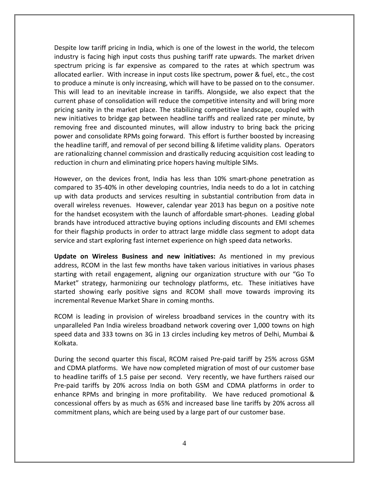Despite low tariff pricing in India, which is one of the lowest in the world, the telecom industry is facing high input costs thus pushing tariff rate upwards. The market driven spectrum pricing is far expensive as compared to the rates at which spectrum was allocated earlier. With increase in input costs like spectrum, power & fuel, etc., the cost to produce a minute is only increasing, which will have to be passed on to the consumer. This will lead to an inevitable increase in tariffs. Alongside, we also expect that the current phase of consolidation will reduce the competitive intensity and will bring more pricing sanity in the market place. The stabilizing competitive landscape, coupled with new initiatives to bridge gap between headline tariffs and realized rate per minute, by removing free and discounted minutes, will allow industry to bring back the pricing power and consolidate RPMs going forward. This effort is further boosted by increasing the headline tariff, and removal of per second billing & lifetime validity plans. Operators are rationalizing channel commission and drastically reducing acquisition cost leading to reduction in churn and eliminating price hopers having multiple SIMs.

However, on the devices front, India has less than 10% smart‐phone penetration as compared to 35‐40% in other developing countries, India needs to do a lot in catching up with data products and services resulting in substantial contribution from data in overall wireless revenues. However, calendar year 2013 has begun on a positive note for the handset ecosystem with the launch of affordable smart‐phones. Leading global brands have introduced attractive buying options including discounts and EMI schemes for their flagship products in order to attract large middle class segment to adopt data service and start exploring fast internet experience on high speed data networks.

**Update on Wireless Business and new initiatives:** As mentioned in my previous address, RCOM in the last few months have taken various initiatives in various phases starting with retail engagement, aligning our organization structure with our "Go To Market" strategy, harmonizing our technology platforms, etc. These initiatives have started showing early positive signs and RCOM shall move towards improving its incremental Revenue Market Share in coming months.

RCOM is leading in provision of wireless broadband services in the country with its unparalleled Pan India wireless broadband network covering over 1,000 towns on high speed data and 333 towns on 3G in 13 circles including key metros of Delhi, Mumbai & Kolkata.

During the second quarter this fiscal, RCOM raised Pre‐paid tariff by 25% across GSM and CDMA platforms. We have now completed migration of most of our customer base to headline tariffs of 1.5 paise per second. Very recently, we have furthers raised our Pre‐paid tariffs by 20% across India on both GSM and CDMA platforms in order to enhance RPMs and bringing in more profitability. We have reduced promotional & concessional offers by as much as 65% and increased base line tariffs by 20% across all commitment plans, which are being used by a large part of our customer base.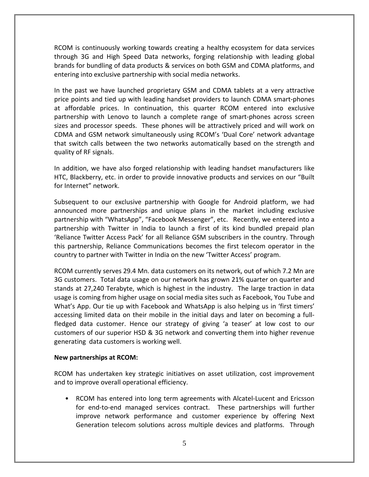RCOM is continuously working towards creating a healthy ecosystem for data services through 3G and High Speed Data networks, forging relationship with leading global brands for bundling of data products & services on both GSM and CDMA platforms, and entering into exclusive partnership with social media networks.

In the past we have launched proprietary GSM and CDMA tablets at a very attractive price points and tied up with leading handset providers to launch CDMA smart‐phones at affordable prices. In continuation, this quarter RCOM entered into exclusive partnership with Lenovo to launch a complete range of smart‐phones across screen sizes and processor speeds. These phones will be attractively priced and will work on CDMA and GSM network simultaneously using RCOM's 'Dual Core' network advantage that switch calls between the two networks automatically based on the strength and quality of RF signals.

In addition, we have also forged relationship with leading handset manufacturers like HTC, Blackberry, etc. in order to provide innovative products and services on our "Built for Internet" network.

Subsequent to our exclusive partnership with Google for Android platform, we had announced more partnerships and unique plans in the market including exclusive partnership with "WhatsApp", "Facebook Messenger", etc. Recently, we entered into a partnership with Twitter in India to launch a first of its kind bundled prepaid plan 'Reliance Twitter Access Pack' for all Reliance GSM subscribers in the country. Through this partnership, Reliance Communications becomes the first telecom operator in the country to partner with Twitter in India on the new 'Twitter Access' program.

RCOM currently serves 29.4 Mn. data customers on its network, out of which 7.2 Mn are 3G customers. Total data usage on our network has grown 21% quarter on quarter and stands at 27,240 Terabyte, which is highest in the industry. The large traction in data usage is coming from higher usage on social media sites such as Facebook, You Tube and What's App. Our tie up with Facebook and WhatsApp is also helping us in 'first timers' accessing limited data on their mobile in the initial days and later on becoming a full‐ fledged data customer. Hence our strategy of giving 'a teaser' at low cost to our customers of our superior HSD & 3G network and converting them into higher revenue generating data customers is working well.

### **New partnerships at RCOM:**

RCOM has undertaken key strategic initiatives on asset utilization, cost improvement and to improve overall operational efficiency.

• RCOM has entered into long term agreements with Alcatel‐Lucent and Ericsson for end-to-end managed services contract. These partnerships will further improve network performance and customer experience by offering Next Generation telecom solutions across multiple devices and platforms. Through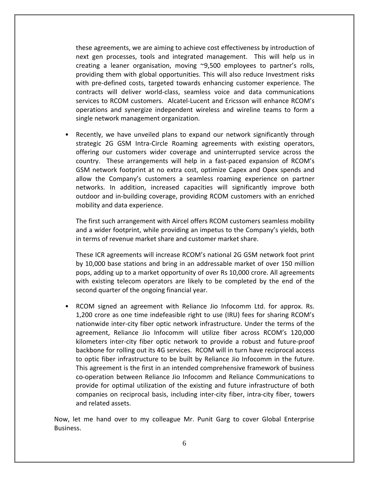these agreements, we are aiming to achieve cost effectiveness by introduction of next gen processes, tools and integrated management. This will help us in creating a leaner organisation, moving ~9,500 employees to partner's rolls, providing them with global opportunities. This will also reduce Investment risks with pre-defined costs, targeted towards enhancing customer experience. The contracts will deliver world‐class, seamless voice and data communications services to RCOM customers. Alcatel‐Lucent and Ericsson will enhance RCOM's operations and synergize independent wireless and wireline teams to form a single network management organization.

• Recently, we have unveiled plans to expand our network significantly through strategic 2G GSM Intra‐Circle Roaming agreements with existing operators, offering our customers wider coverage and uninterrupted service across the country. These arrangements will help in a fast‐paced expansion of RCOM's GSM network footprint at no extra cost, optimize Capex and Opex spends and allow the Company's customers a seamless roaming experience on partner networks. In addition, increased capacities will significantly improve both outdoor and in‐building coverage, providing RCOM customers with an enriched mobility and data experience.

The first such arrangement with Aircel offers RCOM customers seamless mobility and a wider footprint, while providing an impetus to the Company's yields, both in terms of revenue market share and customer market share.

These ICR agreements will increase RCOM's national 2G GSM network foot print by 10,000 base stations and bring in an addressable market of over 150 million pops, adding up to a market opportunity of over Rs 10,000 crore. All agreements with existing telecom operators are likely to be completed by the end of the second quarter of the ongoing financial year.

• RCOM signed an agreement with Reliance Jio Infocomm Ltd. for approx. Rs. 1,200 crore as one time indefeasible right to use (IRU) fees for sharing RCOM's nationwide inter‐city fiber optic network infrastructure. Under the terms of the agreement, Reliance Jio Infocomm will utilize fiber across RCOM's 120,000 kilometers inter‐city fiber optic network to provide a robust and future‐proof backbone for rolling out its 4G services. RCOM will in turn have reciprocal access to optic fiber infrastructure to be built by Reliance Jio Infocomm in the future. This agreement is the first in an intended comprehensive framework of business co‐operation between Reliance Jio Infocomm and Reliance Communications to provide for optimal utilization of the existing and future infrastructure of both companies on reciprocal basis, including inter‐city fiber, intra‐city fiber, towers and related assets.

Now, let me hand over to my colleague Mr. Punit Garg to cover Global Enterprise Business.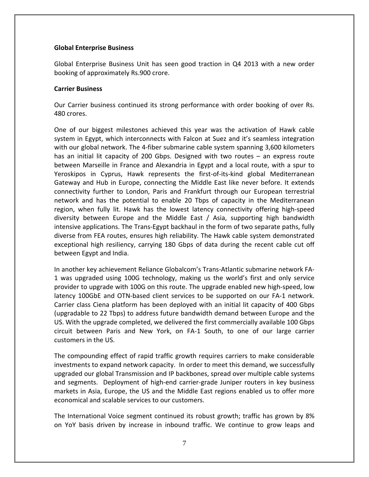# **Global Enterprise Business**

Global Enterprise Business Unit has seen good traction in Q4 2013 with a new order booking of approximately Rs.900 crore.

# **Carrier Business**

Our Carrier business continued its strong performance with order booking of over Rs. 480 crores.

One of our biggest milestones achieved this year was the activation of Hawk cable system in Egypt, which interconnects with Falcon at Suez and it's seamless integration with our global network. The 4‐fiber submarine cable system spanning 3,600 kilometers has an initial lit capacity of 200 Gbps. Designed with two routes – an express route between Marseille in France and Alexandria in Egypt and a local route, with a spur to Yeroskipos in Cyprus, Hawk represents the first‐of‐its‐kind global Mediterranean Gateway and Hub in Europe, connecting the Middle East like never before. It extends connectivity further to London, Paris and Frankfurt through our European terrestrial network and has the potential to enable 20 Tbps of capacity in the Mediterranean region, when fully lit. Hawk has the lowest latency connectivity offering high‐speed diversity between Europe and the Middle East / Asia, supporting high bandwidth intensive applications. The Trans‐Egypt backhaul in the form of two separate paths, fully diverse from FEA routes, ensures high reliability. The Hawk cable system demonstrated exceptional high resiliency, carrying 180 Gbps of data during the recent cable cut off between Egypt and India.

In another key achievement Reliance Globalcom's Trans‐Atlantic submarine network FA‐ 1 was upgraded using 100G technology, making us the world's first and only service provider to upgrade with 100G on this route. The upgrade enabled new high‐speed, low latency 100GbE and OTN‐based client services to be supported on our FA‐1 network. Carrier class Ciena platform has been deployed with an initial lit capacity of 400 Gbps (upgradable to 22 Tbps) to address future bandwidth demand between Europe and the US. With the upgrade completed, we delivered the first commercially available 100 Gbps circuit between Paris and New York, on FA‐1 South, to one of our large carrier customers in the US.

The compounding effect of rapid traffic growth requires carriers to make considerable investments to expand network capacity. In order to meet this demand, we successfully upgraded our global Transmission and IP backbones, spread over multiple cable systems and segments. Deployment of high‐end carrier‐grade Juniper routers in key business markets in Asia, Europe, the US and the Middle East regions enabled us to offer more economical and scalable services to our customers.

The International Voice segment continued its robust growth; traffic has grown by 8% on YoY basis driven by increase in inbound traffic. We continue to grow leaps and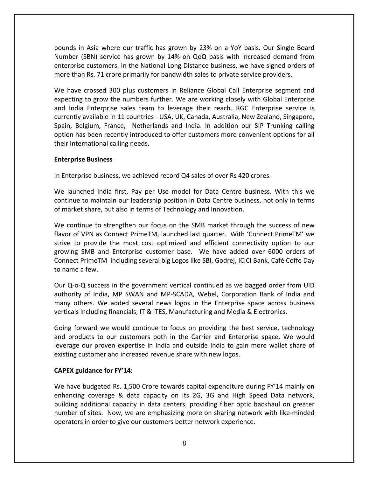bounds in Asia where our traffic has grown by 23% on a YoY basis. Our Single Board Number (SBN) service has grown by 14% on QoQ basis with increased demand from enterprise customers. In the National Long Distance business, we have signed orders of more than Rs. 71 crore primarily for bandwidth sales to private service providers.

We have crossed 300 plus customers in Reliance Global Call Enterprise segment and expecting to grow the numbers further. We are working closely with Global Enterprise and India Enterprise sales team to leverage their reach. RGC Enterprise service is currently available in 11 countries ‐ USA, UK, Canada, Australia, New Zealand, Singapore, Spain, Belgium, France, Netherlands and India. In addition our SIP Trunking calling option has been recently introduced to offer customers more convenient options for all their International calling needs.

# **Enterprise Business**

In Enterprise business, we achieved record Q4 sales of over Rs 420 crores.

We launched India first, Pay per Use model for Data Centre business. With this we continue to maintain our leadership position in Data Centre business, not only in terms of market share, but also in terms of Technology and Innovation.

We continue to strengthen our focus on the SMB market through the success of new flavor of VPN as Connect PrimeTM, launched last quarter. With 'Connect PrimeTM' we strive to provide the most cost optimized and efficient connectivity option to our growing SMB and Enterprise customer base. We have added over 6000 orders of Connect PrimeTM including several big Logos like SBI, Godrej, ICICI Bank, Café Coffe Day to name a few.

Our Q‐o‐Q success in the government vertical continued as we bagged order from UID authority of India, MP SWAN and MP‐SCADA, Webel, Corporation Bank of India and many others. We added several news logos in the Enterprise space across business verticals including financials, IT & ITES, Manufacturing and Media & Electronics.

Going forward we would continue to focus on providing the best service, technology and products to our customers both in the Carrier and Enterprise space. We would leverage our proven expertise in India and outside India to gain more wallet share of existing customer and increased revenue share with new logos.

# **CAPEX guidance for FY'14:**

We have budgeted Rs. 1,500 Crore towards capital expenditure during FY'14 mainly on enhancing coverage & data capacity on its 2G, 3G and High Speed Data network, building additional capacity in data centers, providing fiber optic backhaul on greater number of sites. Now, we are emphasizing more on sharing network with like‐minded operators in order to give our customers better network experience.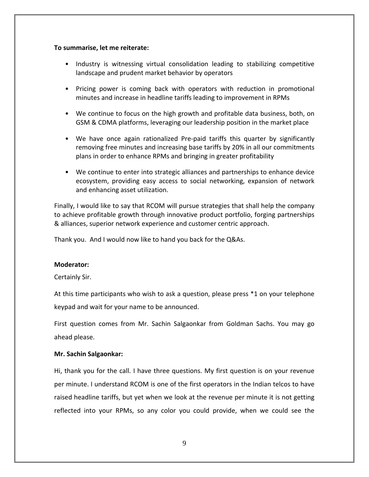### **To summarise, let me reiterate:**

- Industry is witnessing virtual consolidation leading to stabilizing competitive landscape and prudent market behavior by operators
- Pricing power is coming back with operators with reduction in promotional minutes and increase in headline tariffs leading to improvement in RPMs
- We continue to focus on the high growth and profitable data business, both, on GSM & CDMA platforms, leveraging our leadership position in the market place
- We have once again rationalized Pre-paid tariffs this quarter by significantly removing free minutes and increasing base tariffs by 20% in all our commitments plans in order to enhance RPMs and bringing in greater profitability
- We continue to enter into strategic alliances and partnerships to enhance device ecosystem, providing easy access to social networking, expansion of network and enhancing asset utilization.

Finally, I would like to say that RCOM will pursue strategies that shall help the company to achieve profitable growth through innovative product portfolio, forging partnerships & alliances, superior network experience and customer centric approach.

Thank you. And I would now like to hand you back for the Q&As.

# **Moderator:**

Certainly Sir.

At this time participants who wish to ask a question, please press \*1 on your telephone keypad and wait for your name to be announced.

First question comes from Mr. Sachin Salgaonkar from Goldman Sachs. You may go ahead please.

# **Mr. Sachin Salgaonkar:**

Hi, thank you for the call. I have three questions. My first question is on your revenue per minute. I understand RCOM is one of the first operators in the Indian telcos to have raised headline tariffs, but yet when we look at the revenue per minute it is not getting reflected into your RPMs, so any color you could provide, when we could see the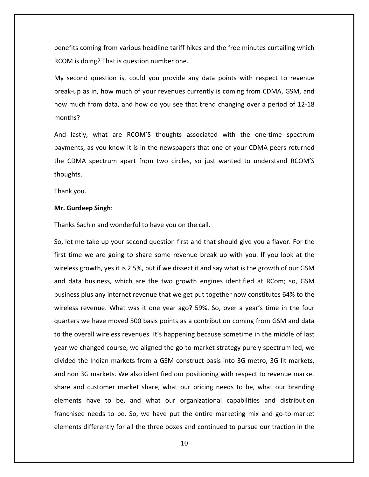benefits coming from various headline tariff hikes and the free minutes curtailing which RCOM is doing? That is question number one.

My second question is, could you provide any data points with respect to revenue break‐up as in, how much of your revenues currently is coming from CDMA, GSM, and how much from data, and how do you see that trend changing over a period of 12‐18 months?

And lastly, what are RCOM'S thoughts associated with the one‐time spectrum payments, as you know it is in the newspapers that one of your CDMA peers returned the CDMA spectrum apart from two circles, so just wanted to understand RCOM'S thoughts.

Thank you.

#### **Mr. Gurdeep Singh**:

Thanks Sachin and wonderful to have you on the call.

So, let me take up your second question first and that should give you a flavor. For the first time we are going to share some revenue break up with you. If you look at the wireless growth, yes it is 2.5%, but if we dissect it and say what is the growth of our GSM and data business, which are the two growth engines identified at RCom; so, GSM business plus any internet revenue that we get put together now constitutes 64% to the wireless revenue. What was it one year ago? 59%. So, over a year's time in the four quarters we have moved 500 basis points as a contribution coming from GSM and data to the overall wireless revenues. It's happening because sometime in the middle of last year we changed course, we aligned the go‐to‐market strategy purely spectrum led, we divided the Indian markets from a GSM construct basis into 3G metro, 3G lit markets, and non 3G markets. We also identified our positioning with respect to revenue market share and customer market share, what our pricing needs to be, what our branding elements have to be, and what our organizational capabilities and distribution franchisee needs to be. So, we have put the entire marketing mix and go-to-market elements differently for all the three boxes and continued to pursue our traction in the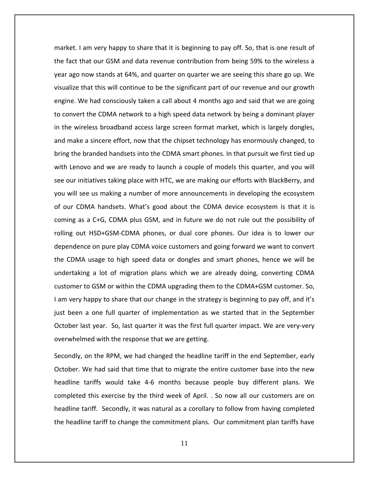market. I am very happy to share that it is beginning to pay off. So, that is one result of the fact that our GSM and data revenue contribution from being 59% to the wireless a year ago now stands at 64%, and quarter on quarter we are seeing this share go up. We visualize that this will continue to be the significant part of our revenue and our growth engine. We had consciously taken a call about 4 months ago and said that we are going to convert the CDMA network to a high speed data network by being a dominant player in the wireless broadband access large screen format market, which is largely dongles, and make a sincere effort, now that the chipset technology has enormously changed, to bring the branded handsets into the CDMA smart phones. In that pursuit we first tied up with Lenovo and we are ready to launch a couple of models this quarter, and you will see our initiatives taking place with HTC, we are making our efforts with BlackBerry, and you will see us making a number of more announcements in developing the ecosystem of our CDMA handsets. What's good about the CDMA device ecosystem is that it is coming as a C+G, CDMA plus GSM, and in future we do not rule out the possibility of rolling out HSD+GSM‐CDMA phones, or dual core phones. Our idea is to lower our dependence on pure play CDMA voice customers and going forward we want to convert the CDMA usage to high speed data or dongles and smart phones, hence we will be undertaking a lot of migration plans which we are already doing, converting CDMA customer to GSM or within the CDMA upgrading them to the CDMA+GSM customer. So, I am very happy to share that our change in the strategy is beginning to pay off, and it's just been a one full quarter of implementation as we started that in the September October last year. So, last quarter it was the first full quarter impact. We are very‐very overwhelmed with the response that we are getting.

Secondly, on the RPM, we had changed the headline tariff in the end September, early October. We had said that time that to migrate the entire customer base into the new headline tariffs would take 4‐6 months because people buy different plans. We completed this exercise by the third week of April. . So now all our customers are on headline tariff. Secondly, it was natural as a corollary to follow from having completed the headline tariff to change the commitment plans. Our commitment plan tariffs have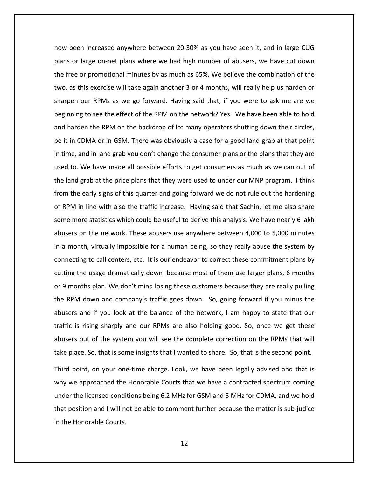now been increased anywhere between 20‐30% as you have seen it, and in large CUG plans or large on‐net plans where we had high number of abusers, we have cut down the free or promotional minutes by as much as 65%. We believe the combination of the two, as this exercise will take again another 3 or 4 months, will really help us harden or sharpen our RPMs as we go forward. Having said that, if you were to ask me are we beginning to see the effect of the RPM on the network? Yes. We have been able to hold and harden the RPM on the backdrop of lot many operators shutting down their circles, be it in CDMA or in GSM. There was obviously a case for a good land grab at that point in time, and in land grab you don't change the consumer plans or the plans that they are used to. We have made all possible efforts to get consumers as much as we can out of the land grab at the price plans that they were used to under our MNP program. I think from the early signs of this quarter and going forward we do not rule out the hardening of RPM in line with also the traffic increase. Having said that Sachin, let me also share some more statistics which could be useful to derive this analysis. We have nearly 6 lakh abusers on the network. These abusers use anywhere between 4,000 to 5,000 minutes in a month, virtually impossible for a human being, so they really abuse the system by connecting to call centers, etc. It is our endeavor to correct these commitment plans by cutting the usage dramatically down because most of them use larger plans, 6 months or 9 months plan. We don't mind losing these customers because they are really pulling the RPM down and company's traffic goes down. So, going forward if you minus the abusers and if you look at the balance of the network, I am happy to state that our traffic is rising sharply and our RPMs are also holding good. So, once we get these abusers out of the system you will see the complete correction on the RPMs that will take place. So, that is some insights that I wanted to share. So, that is the second point.

Third point, on your one-time charge. Look, we have been legally advised and that is why we approached the Honorable Courts that we have a contracted spectrum coming under the licensed conditions being 6.2 MHz for GSM and 5 MHz for CDMA, and we hold that position and I will not be able to comment further because the matter is sub‐judice in the Honorable Courts.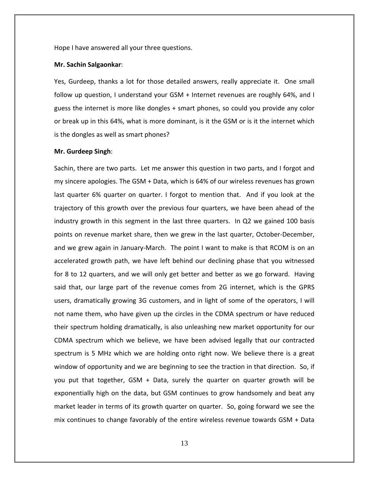Hope I have answered all your three questions.

#### **Mr. Sachin Salgaonkar**:

Yes, Gurdeep, thanks a lot for those detailed answers, really appreciate it. One small follow up question, I understand your GSM + Internet revenues are roughly 64%, and I guess the internet is more like dongles + smart phones, so could you provide any color or break up in this 64%, what is more dominant, is it the GSM or is it the internet which is the dongles as well as smart phones?

#### **Mr. Gurdeep Singh**:

Sachin, there are two parts. Let me answer this question in two parts, and I forgot and my sincere apologies. The GSM + Data, which is 64% of our wireless revenues has grown last quarter 6% quarter on quarter. I forgot to mention that. And if you look at the trajectory of this growth over the previous four quarters, we have been ahead of the industry growth in this segment in the last three quarters. In Q2 we gained 100 basis points on revenue market share, then we grew in the last quarter, October‐December, and we grew again in January‐March. The point I want to make is that RCOM is on an accelerated growth path, we have left behind our declining phase that you witnessed for 8 to 12 quarters, and we will only get better and better as we go forward. Having said that, our large part of the revenue comes from 2G internet, which is the GPRS users, dramatically growing 3G customers, and in light of some of the operators, I will not name them, who have given up the circles in the CDMA spectrum or have reduced their spectrum holding dramatically, is also unleashing new market opportunity for our CDMA spectrum which we believe, we have been advised legally that our contracted spectrum is 5 MHz which we are holding onto right now. We believe there is a great window of opportunity and we are beginning to see the traction in that direction. So, if you put that together, GSM + Data, surely the quarter on quarter growth will be exponentially high on the data, but GSM continues to grow handsomely and beat any market leader in terms of its growth quarter on quarter. So, going forward we see the mix continues to change favorably of the entire wireless revenue towards GSM + Data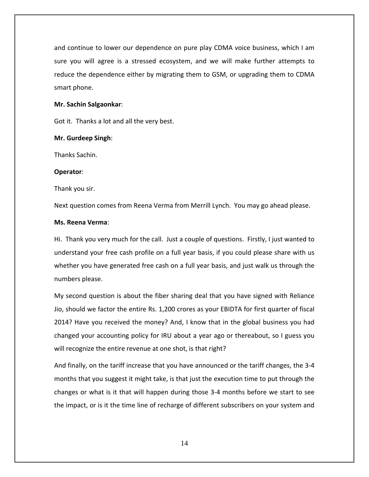and continue to lower our dependence on pure play CDMA voice business, which I am sure you will agree is a stressed ecosystem, and we will make further attempts to reduce the dependence either by migrating them to GSM, or upgrading them to CDMA smart phone.

### **Mr. Sachin Salgaonkar**:

Got it. Thanks a lot and all the very best.

### **Mr. Gurdeep Singh**:

Thanks Sachin.

### **Operator**:

Thank you sir.

Next question comes from Reena Verma from Merrill Lynch. You may go ahead please.

### **Ms. Reena Verma**:

Hi. Thank you very much for the call. Just a couple of questions. Firstly, I just wanted to understand your free cash profile on a full year basis, if you could please share with us whether you have generated free cash on a full year basis, and just walk us through the numbers please.

My second question is about the fiber sharing deal that you have signed with Reliance Jio, should we factor the entire Rs. 1,200 crores as your EBIDTA for first quarter of fiscal 2014? Have you received the money? And, I know that in the global business you had changed your accounting policy for IRU about a year ago or thereabout, so I guess you will recognize the entire revenue at one shot, is that right?

And finally, on the tariff increase that you have announced or the tariff changes, the 3‐4 months that you suggest it might take, is that just the execution time to put through the changes or what is it that will happen during those 3‐4 months before we start to see the impact, or is it the time line of recharge of different subscribers on your system and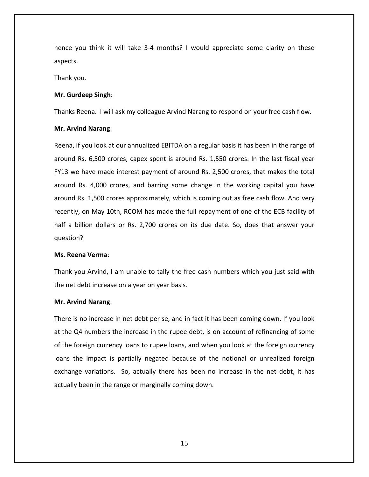hence you think it will take 3-4 months? I would appreciate some clarity on these aspects.

Thank you.

#### **Mr. Gurdeep Singh**:

Thanks Reena. I will ask my colleague Arvind Narang to respond on your free cash flow.

#### **Mr. Arvind Narang**:

Reena, if you look at our annualized EBITDA on a regular basis it has been in the range of around Rs. 6,500 crores, capex spent is around Rs. 1,550 crores. In the last fiscal year FY13 we have made interest payment of around Rs. 2,500 crores, that makes the total around Rs. 4,000 crores, and barring some change in the working capital you have around Rs. 1,500 crores approximately, which is coming out as free cash flow. And very recently, on May 10th, RCOM has made the full repayment of one of the ECB facility of half a billion dollars or Rs. 2,700 crores on its due date. So, does that answer your question?

### **Ms. Reena Verma**:

Thank you Arvind, I am unable to tally the free cash numbers which you just said with the net debt increase on a year on year basis.

### **Mr. Arvind Narang**:

There is no increase in net debt per se, and in fact it has been coming down. If you look at the Q4 numbers the increase in the rupee debt, is on account of refinancing of some of the foreign currency loans to rupee loans, and when you look at the foreign currency loans the impact is partially negated because of the notional or unrealized foreign exchange variations. So, actually there has been no increase in the net debt, it has actually been in the range or marginally coming down.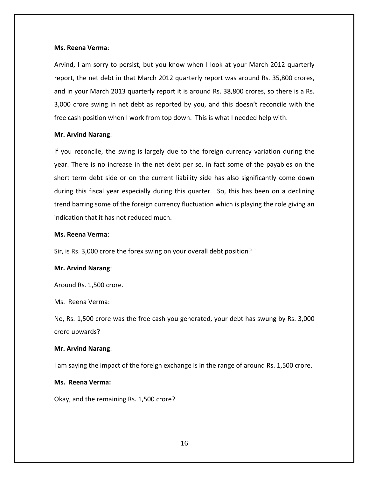#### **Ms. Reena Verma**:

Arvind, I am sorry to persist, but you know when I look at your March 2012 quarterly report, the net debt in that March 2012 quarterly report was around Rs. 35,800 crores, and in your March 2013 quarterly report it is around Rs. 38,800 crores, so there is a Rs. 3,000 crore swing in net debt as reported by you, and this doesn't reconcile with the free cash position when I work from top down. This is what I needed help with.

#### **Mr. Arvind Narang**:

If you reconcile, the swing is largely due to the foreign currency variation during the year. There is no increase in the net debt per se, in fact some of the payables on the short term debt side or on the current liability side has also significantly come down during this fiscal year especially during this quarter. So, this has been on a declining trend barring some of the foreign currency fluctuation which is playing the role giving an indication that it has not reduced much.

#### **Ms. Reena Verma**:

Sir, is Rs. 3,000 crore the forex swing on your overall debt position?

#### **Mr. Arvind Narang**:

Around Rs. 1,500 crore.

Ms. Reena Verma:

No, Rs. 1,500 crore was the free cash you generated, your debt has swung by Rs. 3,000 crore upwards?

### **Mr. Arvind Narang**:

I am saying the impact of the foreign exchange is in the range of around Rs. 1,500 crore.

### **Ms. Reena Verma:**

Okay, and the remaining Rs. 1,500 crore?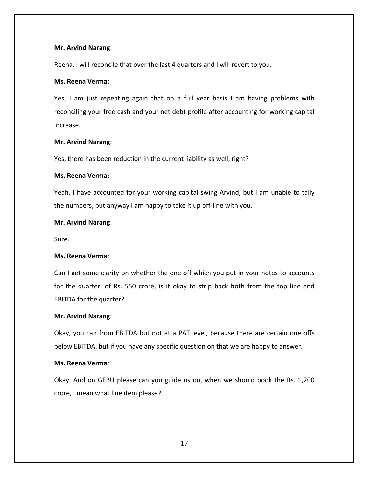### **Mr. Arvind Narang**:

Reena, I will reconcile that over the last 4 quarters and I will revert to you.

### **Ms. Reena Verma:**

Yes, I am just repeating again that on a full year basis I am having problems with reconciling your free cash and your net debt profile after accounting for working capital increase.

### **Mr. Arvind Narang**:

Yes, there has been reduction in the current liability as well, right?

### **Ms. Reena Verma:**

Yeah, I have accounted for your working capital swing Arvind, but I am unable to tally the numbers, but anyway I am happy to take it up off‐line with you.

# **Mr. Arvind Narang**:

Sure.

# **Ms. Reena Verma**:

Can I get some clarity on whether the one off which you put in your notes to accounts for the quarter, of Rs. 550 crore, is it okay to strip back both from the top line and EBITDA for the quarter?

# **Mr. Arvind Narang**:

Okay, you can from EBITDA but not at a PAT level, because there are certain one offs below EBITDA, but if you have any specific question on that we are happy to answer.

### **Ms. Reena Verma**:

Okay. And on GEBU please can you guide us on, when we should book the Rs. 1,200 crore, I mean what line item please?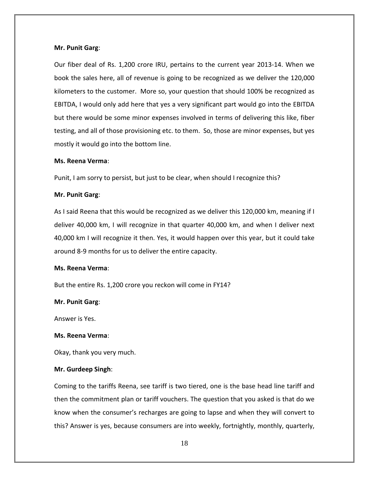### **Mr. Punit Garg**:

Our fiber deal of Rs. 1,200 crore IRU, pertains to the current year 2013‐14. When we book the sales here, all of revenue is going to be recognized as we deliver the 120,000 kilometers to the customer. More so, your question that should 100% be recognized as EBITDA, I would only add here that yes a very significant part would go into the EBITDA but there would be some minor expenses involved in terms of delivering this like, fiber testing, and all of those provisioning etc. to them. So, those are minor expenses, but yes mostly it would go into the bottom line.

### **Ms. Reena Verma**:

Punit, I am sorry to persist, but just to be clear, when should I recognize this?

### **Mr. Punit Garg**:

As I said Reena that this would be recognized as we deliver this 120,000 km, meaning if I deliver 40,000 km, I will recognize in that quarter 40,000 km, and when I deliver next 40,000 km I will recognize it then. Yes, it would happen over this year, but it could take around 8‐9 months for us to deliver the entire capacity.

### **Ms. Reena Verma**:

But the entire Rs. 1,200 crore you reckon will come in FY14?

### **Mr. Punit Garg**:

Answer is Yes.

### **Ms. Reena Verma**:

Okay, thank you very much.

### **Mr. Gurdeep Singh**:

Coming to the tariffs Reena, see tariff is two tiered, one is the base head line tariff and then the commitment plan or tariff vouchers. The question that you asked is that do we know when the consumer's recharges are going to lapse and when they will convert to this? Answer is yes, because consumers are into weekly, fortnightly, monthly, quarterly,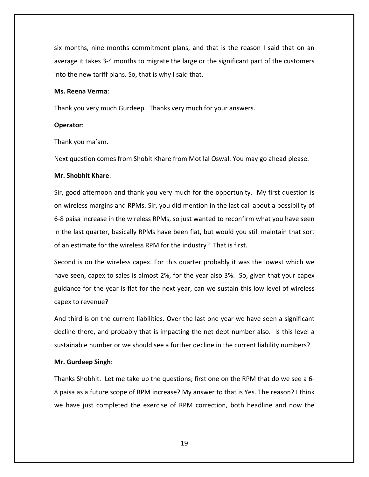six months, nine months commitment plans, and that is the reason I said that on an average it takes 3‐4 months to migrate the large or the significant part of the customers into the new tariff plans. So, that is why I said that.

### **Ms. Reena Verma**:

Thank you very much Gurdeep. Thanks very much for your answers.

### **Operator**:

Thank you ma'am.

Next question comes from Shobit Khare from Motilal Oswal. You may go ahead please.

### **Mr. Shobhit Khare**:

Sir, good afternoon and thank you very much for the opportunity. My first question is on wireless margins and RPMs. Sir, you did mention in the last call about a possibility of 6‐8 paisa increase in the wireless RPMs, so just wanted to reconfirm what you have seen in the last quarter, basically RPMs have been flat, but would you still maintain that sort of an estimate for the wireless RPM for the industry? That is first.

Second is on the wireless capex. For this quarter probably it was the lowest which we have seen, capex to sales is almost 2%, for the year also 3%. So, given that your capex guidance for the year is flat for the next year, can we sustain this low level of wireless capex to revenue?

And third is on the current liabilities. Over the last one year we have seen a significant decline there, and probably that is impacting the net debt number also. Is this level a sustainable number or we should see a further decline in the current liability numbers?

### **Mr. Gurdeep Singh**:

Thanks Shobhit. Let me take up the questions; first one on the RPM that do we see a 6‐ 8 paisa as a future scope of RPM increase? My answer to that is Yes. The reason? I think we have just completed the exercise of RPM correction, both headline and now the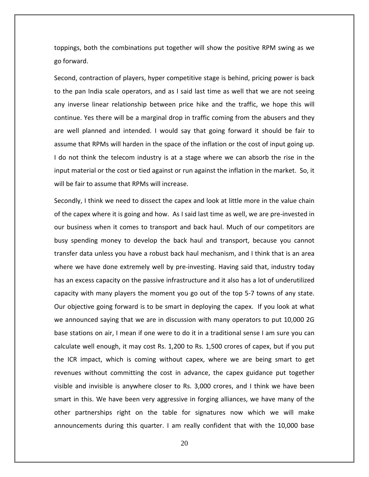toppings, both the combinations put together will show the positive RPM swing as we go forward.

Second, contraction of players, hyper competitive stage is behind, pricing power is back to the pan India scale operators, and as I said last time as well that we are not seeing any inverse linear relationship between price hike and the traffic, we hope this will continue. Yes there will be a marginal drop in traffic coming from the abusers and they are well planned and intended. I would say that going forward it should be fair to assume that RPMs will harden in the space of the inflation or the cost of input going up. I do not think the telecom industry is at a stage where we can absorb the rise in the input material or the cost or tied against or run against the inflation in the market. So, it will be fair to assume that RPMs will increase.

Secondly, I think we need to dissect the capex and look at little more in the value chain of the capex where it is going and how. As I said last time as well, we are pre‐invested in our business when it comes to transport and back haul. Much of our competitors are busy spending money to develop the back haul and transport, because you cannot transfer data unless you have a robust back haul mechanism, and I think that is an area where we have done extremely well by pre-investing. Having said that, industry today has an excess capacity on the passive infrastructure and it also has a lot of underutilized capacity with many players the moment you go out of the top 5‐7 towns of any state. Our objective going forward is to be smart in deploying the capex. If you look at what we announced saying that we are in discussion with many operators to put 10,000 2G base stations on air, I mean if one were to do it in a traditional sense I am sure you can calculate well enough, it may cost Rs. 1,200 to Rs. 1,500 crores of capex, but if you put the ICR impact, which is coming without capex, where we are being smart to get revenues without committing the cost in advance, the capex guidance put together visible and invisible is anywhere closer to Rs. 3,000 crores, and I think we have been smart in this. We have been very aggressive in forging alliances, we have many of the other partnerships right on the table for signatures now which we will make announcements during this quarter. I am really confident that with the 10,000 base

20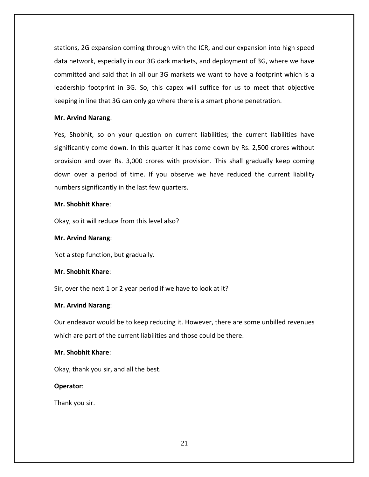stations, 2G expansion coming through with the ICR, and our expansion into high speed data network, especially in our 3G dark markets, and deployment of 3G, where we have committed and said that in all our 3G markets we want to have a footprint which is a leadership footprint in 3G. So, this capex will suffice for us to meet that objective keeping in line that 3G can only go where there is a smart phone penetration.

# **Mr. Arvind Narang**:

Yes, Shobhit, so on your question on current liabilities; the current liabilities have significantly come down. In this quarter it has come down by Rs. 2,500 crores without provision and over Rs. 3,000 crores with provision. This shall gradually keep coming down over a period of time. If you observe we have reduced the current liability numbers significantly in the last few quarters.

### **Mr. Shobhit Khare**:

Okay, so it will reduce from this level also?

### **Mr. Arvind Narang**:

Not a step function, but gradually.

### **Mr. Shobhit Khare**:

Sir, over the next 1 or 2 year period if we have to look at it?

### **Mr. Arvind Narang**:

Our endeavor would be to keep reducing it. However, there are some unbilled revenues which are part of the current liabilities and those could be there.

### **Mr. Shobhit Khare**:

Okay, thank you sir, and all the best.

# **Operator**:

Thank you sir.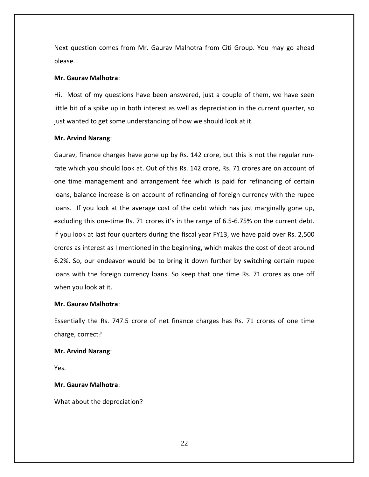Next question comes from Mr. Gaurav Malhotra from Citi Group. You may go ahead please.

### **Mr. Gaurav Malhotra**:

Hi. Most of my questions have been answered, just a couple of them, we have seen little bit of a spike up in both interest as well as depreciation in the current quarter, so just wanted to get some understanding of how we should look at it.

### **Mr. Arvind Narang**:

Gaurav, finance charges have gone up by Rs. 142 crore, but this is not the regular run‐ rate which you should look at. Out of this Rs. 142 crore, Rs. 71 crores are on account of one time management and arrangement fee which is paid for refinancing of certain loans, balance increase is on account of refinancing of foreign currency with the rupee loans. If you look at the average cost of the debt which has just marginally gone up, excluding this one‐time Rs. 71 crores it's in the range of 6.5‐6.75% on the current debt. If you look at last four quarters during the fiscal year FY13, we have paid over Rs. 2,500 crores as interest as I mentioned in the beginning, which makes the cost of debt around 6.2%. So, our endeavor would be to bring it down further by switching certain rupee loans with the foreign currency loans. So keep that one time Rs. 71 crores as one off when you look at it.

### **Mr. Gaurav Malhotra**:

Essentially the Rs. 747.5 crore of net finance charges has Rs. 71 crores of one time charge, correct?

### **Mr. Arvind Narang**:

Yes.

### **Mr. Gaurav Malhotra**:

What about the depreciation?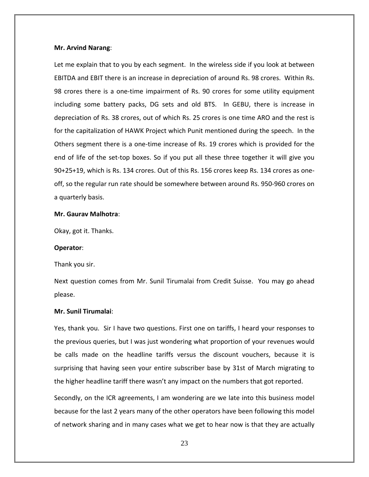### **Mr. Arvind Narang**:

Let me explain that to you by each segment. In the wireless side if you look at between EBITDA and EBIT there is an increase in depreciation of around Rs. 98 crores. Within Rs. 98 crores there is a one-time impairment of Rs. 90 crores for some utility equipment including some battery packs, DG sets and old BTS. In GEBU, there is increase in depreciation of Rs. 38 crores, out of which Rs. 25 crores is one time ARO and the rest is for the capitalization of HAWK Project which Punit mentioned during the speech. In the Others segment there is a one‐time increase of Rs. 19 crores which is provided for the end of life of the set-top boxes. So if you put all these three together it will give you 90+25+19, which is Rs. 134 crores. Out of this Rs. 156 crores keep Rs. 134 crores as one‐ off, so the regular run rate should be somewhere between around Rs. 950‐960 crores on a quarterly basis.

#### **Mr. Gaurav Malhotra**:

Okay, got it. Thanks.

#### **Operator**:

Thank you sir.

Next question comes from Mr. Sunil Tirumalai from Credit Suisse. You may go ahead please.

### **Mr. Sunil Tirumalai**:

Yes, thank you. Sir I have two questions. First one on tariffs, I heard your responses to the previous queries, but I was just wondering what proportion of your revenues would be calls made on the headline tariffs versus the discount vouchers, because it is surprising that having seen your entire subscriber base by 31st of March migrating to the higher headline tariff there wasn't any impact on the numbers that got reported.

Secondly, on the ICR agreements, I am wondering are we late into this business model because for the last 2 years many of the other operators have been following this model of network sharing and in many cases what we get to hear now is that they are actually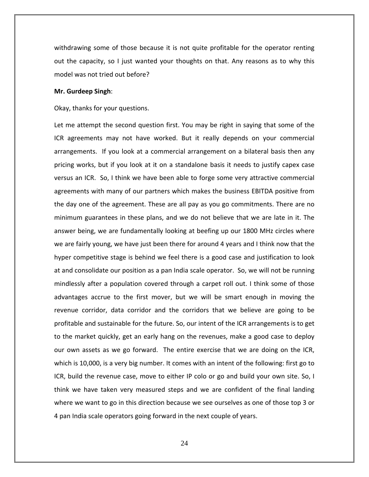withdrawing some of those because it is not quite profitable for the operator renting out the capacity, so I just wanted your thoughts on that. Any reasons as to why this model was not tried out before?

# **Mr. Gurdeep Singh**:

Okay, thanks for your questions.

Let me attempt the second question first. You may be right in saying that some of the ICR agreements may not have worked. But it really depends on your commercial arrangements. If you look at a commercial arrangement on a bilateral basis then any pricing works, but if you look at it on a standalone basis it needs to justify capex case versus an ICR. So, I think we have been able to forge some very attractive commercial agreements with many of our partners which makes the business EBITDA positive from the day one of the agreement. These are all pay as you go commitments. There are no minimum guarantees in these plans, and we do not believe that we are late in it. The answer being, we are fundamentally looking at beefing up our 1800 MHz circles where we are fairly young, we have just been there for around 4 years and I think now that the hyper competitive stage is behind we feel there is a good case and justification to look at and consolidate our position as a pan India scale operator. So, we will not be running mindlessly after a population covered through a carpet roll out. I think some of those advantages accrue to the first mover, but we will be smart enough in moving the revenue corridor, data corridor and the corridors that we believe are going to be profitable and sustainable for the future. So, our intent of the ICR arrangements is to get to the market quickly, get an early hang on the revenues, make a good case to deploy our own assets as we go forward. The entire exercise that we are doing on the ICR, which is 10,000, is a very big number. It comes with an intent of the following: first go to ICR, build the revenue case, move to either IP colo or go and build your own site. So, I think we have taken very measured steps and we are confident of the final landing where we want to go in this direction because we see ourselves as one of those top 3 or 4 pan India scale operators going forward in the next couple of years.

24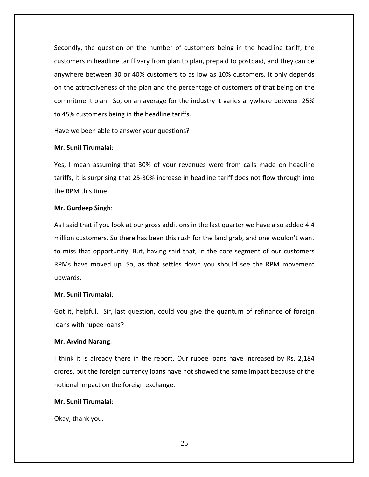Secondly, the question on the number of customers being in the headline tariff, the customers in headline tariff vary from plan to plan, prepaid to postpaid, and they can be anywhere between 30 or 40% customers to as low as 10% customers. It only depends on the attractiveness of the plan and the percentage of customers of that being on the commitment plan. So, on an average for the industry it varies anywhere between 25% to 45% customers being in the headline tariffs.

Have we been able to answer your questions?

### **Mr. Sunil Tirumalai**:

Yes, I mean assuming that 30% of your revenues were from calls made on headline tariffs, it is surprising that 25‐30% increase in headline tariff does not flow through into the RPM this time.

### **Mr. Gurdeep Singh**:

As I said that if you look at our gross additions in the last quarter we have also added 4.4 million customers. So there has been this rush for the land grab, and one wouldn't want to miss that opportunity. But, having said that, in the core segment of our customers RPMs have moved up. So, as that settles down you should see the RPM movement upwards.

### **Mr. Sunil Tirumalai**:

Got it, helpful. Sir, last question, could you give the quantum of refinance of foreign loans with rupee loans?

### **Mr. Arvind Narang**:

I think it is already there in the report. Our rupee loans have increased by Rs. 2,184 crores, but the foreign currency loans have not showed the same impact because of the notional impact on the foreign exchange.

### **Mr. Sunil Tirumalai**:

Okay, thank you.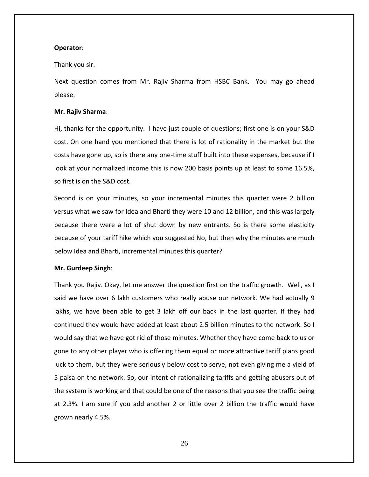### **Operator**:

### Thank you sir.

Next question comes from Mr. Rajiv Sharma from HSBC Bank. You may go ahead please.

#### **Mr. Rajiv Sharma**:

Hi, thanks for the opportunity. I have just couple of questions; first one is on your S&D cost. On one hand you mentioned that there is lot of rationality in the market but the costs have gone up, so is there any one‐time stuff built into these expenses, because if I look at your normalized income this is now 200 basis points up at least to some 16.5%, so first is on the S&D cost.

Second is on your minutes, so your incremental minutes this quarter were 2 billion versus what we saw for Idea and Bharti they were 10 and 12 billion, and this was largely because there were a lot of shut down by new entrants. So is there some elasticity because of your tariff hike which you suggested No, but then why the minutes are much below Idea and Bharti, incremental minutes this quarter?

#### **Mr. Gurdeep Singh**:

Thank you Rajiv. Okay, let me answer the question first on the traffic growth. Well, as I said we have over 6 lakh customers who really abuse our network. We had actually 9 lakhs, we have been able to get 3 lakh off our back in the last quarter. If they had continued they would have added at least about 2.5 billion minutes to the network. So I would say that we have got rid of those minutes. Whether they have come back to us or gone to any other player who is offering them equal or more attractive tariff plans good luck to them, but they were seriously below cost to serve, not even giving me a yield of 5 paisa on the network. So, our intent of rationalizing tariffs and getting abusers out of the system is working and that could be one of the reasons that you see the traffic being at 2.3%. I am sure if you add another 2 or little over 2 billion the traffic would have grown nearly 4.5%.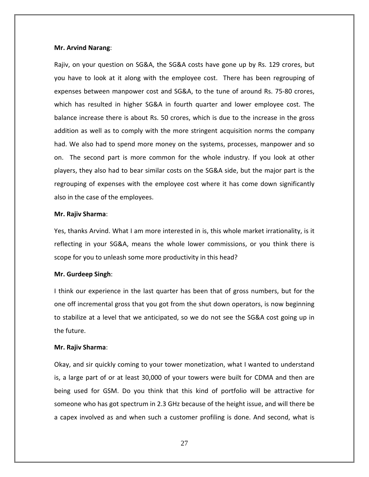#### **Mr. Arvind Narang**:

Rajiv, on your question on SG&A, the SG&A costs have gone up by Rs. 129 crores, but you have to look at it along with the employee cost. There has been regrouping of expenses between manpower cost and SG&A, to the tune of around Rs. 75‐80 crores, which has resulted in higher SG&A in fourth quarter and lower employee cost. The balance increase there is about Rs. 50 crores, which is due to the increase in the gross addition as well as to comply with the more stringent acquisition norms the company had. We also had to spend more money on the systems, processes, manpower and so on. The second part is more common for the whole industry. If you look at other players, they also had to bear similar costs on the SG&A side, but the major part is the regrouping of expenses with the employee cost where it has come down significantly also in the case of the employees.

#### **Mr. Rajiv Sharma**:

Yes, thanks Arvind. What I am more interested in is, this whole market irrationality, is it reflecting in your SG&A, means the whole lower commissions, or you think there is scope for you to unleash some more productivity in this head?

#### **Mr. Gurdeep Singh**:

I think our experience in the last quarter has been that of gross numbers, but for the one off incremental gross that you got from the shut down operators, is now beginning to stabilize at a level that we anticipated, so we do not see the SG&A cost going up in the future.

### **Mr. Rajiv Sharma**:

Okay, and sir quickly coming to your tower monetization, what I wanted to understand is, a large part of or at least 30,000 of your towers were built for CDMA and then are being used for GSM. Do you think that this kind of portfolio will be attractive for someone who has got spectrum in 2.3 GHz because of the height issue, and will there be a capex involved as and when such a customer profiling is done. And second, what is

27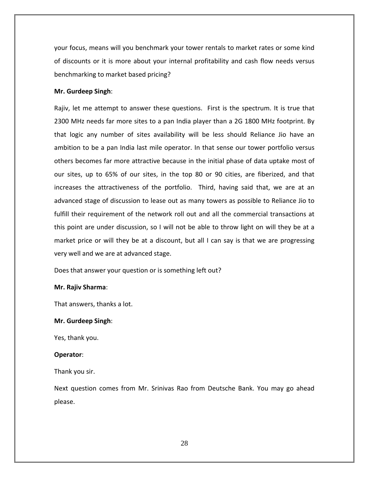your focus, means will you benchmark your tower rentals to market rates or some kind of discounts or it is more about your internal profitability and cash flow needs versus benchmarking to market based pricing?

### **Mr. Gurdeep Singh**:

Rajiv, let me attempt to answer these questions. First is the spectrum. It is true that 2300 MHz needs far more sites to a pan India player than a 2G 1800 MHz footprint. By that logic any number of sites availability will be less should Reliance Jio have an ambition to be a pan India last mile operator. In that sense our tower portfolio versus others becomes far more attractive because in the initial phase of data uptake most of our sites, up to 65% of our sites, in the top 80 or 90 cities, are fiberized, and that increases the attractiveness of the portfolio. Third, having said that, we are at an advanced stage of discussion to lease out as many towers as possible to Reliance Jio to fulfill their requirement of the network roll out and all the commercial transactions at this point are under discussion, so I will not be able to throw light on will they be at a market price or will they be at a discount, but all I can say is that we are progressing very well and we are at advanced stage.

Does that answer your question or is something left out?

### **Mr. Rajiv Sharma**:

That answers, thanks a lot.

### **Mr. Gurdeep Singh**:

Yes, thank you.

### **Operator**:

Thank you sir.

Next question comes from Mr. Srinivas Rao from Deutsche Bank. You may go ahead please.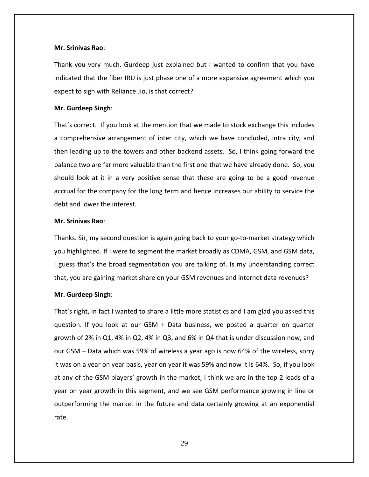### **Mr. Srinivas Rao**:

Thank you very much. Gurdeep just explained but I wanted to confirm that you have indicated that the fiber IRU is just phase one of a more expansive agreement which you expect to sign with Reliance Jio, is that correct?

### **Mr. Gurdeep Singh**:

That's correct. If you look at the mention that we made to stock exchange this includes a comprehensive arrangement of inter city, which we have concluded, intra city, and then leading up to the towers and other backend assets. So, I think going forward the balance two are far more valuable than the first one that we have already done. So, you should look at it in a very positive sense that these are going to be a good revenue accrual for the company for the long term and hence increases our ability to service the debt and lower the interest.

### **Mr. Srinivas Rao**:

Thanks. Sir, my second question is again going back to your go‐to‐market strategy which you highlighted. If I were to segment the market broadly as CDMA, GSM, and GSM data, I guess that's the broad segmentation you are talking of. Is my understanding correct that, you are gaining market share on your GSM revenues and internet data revenues?

### **Mr. Gurdeep Singh**:

That's right, in fact I wanted to share a little more statistics and I am glad you asked this question. If you look at our GSM + Data business, we posted a quarter on quarter growth of 2% in Q1, 4% in Q2, 4% in Q3, and 6% in Q4 that is under discussion now, and our GSM + Data which was 59% of wireless a year ago is now 64% of the wireless, sorry it was on a year on year basis, year on year it was 59% and now it is 64%. So, if you look at any of the GSM players' growth in the market, I think we are in the top 2 leads of a year on year growth in this segment, and we see GSM performance growing in line or outperforming the market in the future and data certainly growing at an exponential rate.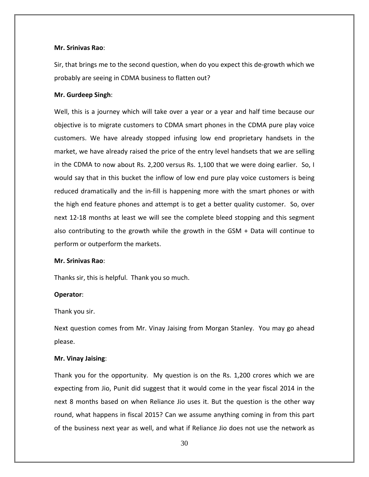#### **Mr. Srinivas Rao**:

Sir, that brings me to the second question, when do you expect this de‐growth which we probably are seeing in CDMA business to flatten out?

#### **Mr. Gurdeep Singh**:

Well, this is a journey which will take over a year or a year and half time because our objective is to migrate customers to CDMA smart phones in the CDMA pure play voice customers. We have already stopped infusing low end proprietary handsets in the market, we have already raised the price of the entry level handsets that we are selling in the CDMA to now about Rs. 2,200 versus Rs. 1,100 that we were doing earlier. So, I would say that in this bucket the inflow of low end pure play voice customers is being reduced dramatically and the in‐fill is happening more with the smart phones or with the high end feature phones and attempt is to get a better quality customer. So, over next 12‐18 months at least we will see the complete bleed stopping and this segment also contributing to the growth while the growth in the GSM + Data will continue to perform or outperform the markets.

#### **Mr. Srinivas Rao**:

Thanks sir, this is helpful. Thank you so much.

#### **Operator**:

Thank you sir.

Next question comes from Mr. Vinay Jaising from Morgan Stanley. You may go ahead please.

### **Mr. Vinay Jaising**:

Thank you for the opportunity. My question is on the Rs. 1,200 crores which we are expecting from Jio, Punit did suggest that it would come in the year fiscal 2014 in the next 8 months based on when Reliance Jio uses it. But the question is the other way round, what happens in fiscal 2015? Can we assume anything coming in from this part of the business next year as well, and what if Reliance Jio does not use the network as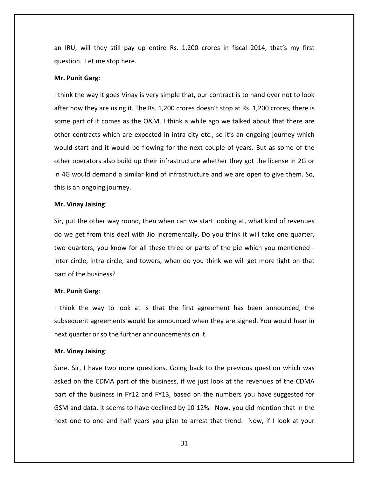an IRU, will they still pay up entire Rs. 1,200 crores in fiscal 2014, that's my first question. Let me stop here.

### **Mr. Punit Garg**:

I think the way it goes Vinay is very simple that, our contract is to hand over not to look after how they are using it. The Rs. 1,200 crores doesn't stop at Rs. 1,200 crores, there is some part of it comes as the O&M. I think a while ago we talked about that there are other contracts which are expected in intra city etc., so it's an ongoing journey which would start and it would be flowing for the next couple of years. But as some of the other operators also build up their infrastructure whether they got the license in 2G or in 4G would demand a similar kind of infrastructure and we are open to give them. So, this is an ongoing journey.

#### **Mr. Vinay Jaising**:

Sir, put the other way round, then when can we start looking at, what kind of revenues do we get from this deal with Jio incrementally. Do you think it will take one quarter, two quarters, you know for all these three or parts of the pie which you mentioned ‐ inter circle, intra circle, and towers, when do you think we will get more light on that part of the business?

#### **Mr. Punit Garg**:

I think the way to look at is that the first agreement has been announced, the subsequent agreements would be announced when they are signed. You would hear in next quarter or so the further announcements on it.

#### **Mr. Vinay Jaising**:

Sure. Sir, I have two more questions. Going back to the previous question which was asked on the CDMA part of the business, if we just look at the revenues of the CDMA part of the business in FY12 and FY13, based on the numbers you have suggested for GSM and data, it seems to have declined by 10‐12%. Now, you did mention that in the next one to one and half years you plan to arrest that trend. Now, if I look at your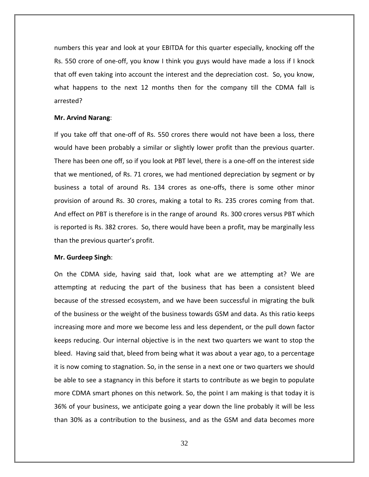numbers this year and look at your EBITDA for this quarter especially, knocking off the Rs. 550 crore of one‐off, you know I think you guys would have made a loss if I knock that off even taking into account the interest and the depreciation cost. So, you know, what happens to the next 12 months then for the company till the CDMA fall is arrested?

#### **Mr. Arvind Narang**:

If you take off that one‐off of Rs. 550 crores there would not have been a loss, there would have been probably a similar or slightly lower profit than the previous quarter. There has been one off, so if you look at PBT level, there is a one‐off on the interest side that we mentioned, of Rs. 71 crores, we had mentioned depreciation by segment or by business a total of around Rs. 134 crores as one‐offs, there is some other minor provision of around Rs. 30 crores, making a total to Rs. 235 crores coming from that. And effect on PBT is therefore is in the range of around Rs. 300 crores versus PBT which is reported is Rs. 382 crores. So, there would have been a profit, may be marginally less than the previous quarter's profit.

#### **Mr. Gurdeep Singh**:

On the CDMA side, having said that, look what are we attempting at? We are attempting at reducing the part of the business that has been a consistent bleed because of the stressed ecosystem, and we have been successful in migrating the bulk of the business or the weight of the business towards GSM and data. As this ratio keeps increasing more and more we become less and less dependent, or the pull down factor keeps reducing. Our internal objective is in the next two quarters we want to stop the bleed. Having said that, bleed from being what it was about a year ago, to a percentage it is now coming to stagnation. So, in the sense in a next one or two quarters we should be able to see a stagnancy in this before it starts to contribute as we begin to populate more CDMA smart phones on this network. So, the point I am making is that today it is 36% of your business, we anticipate going a year down the line probably it will be less than 30% as a contribution to the business, and as the GSM and data becomes more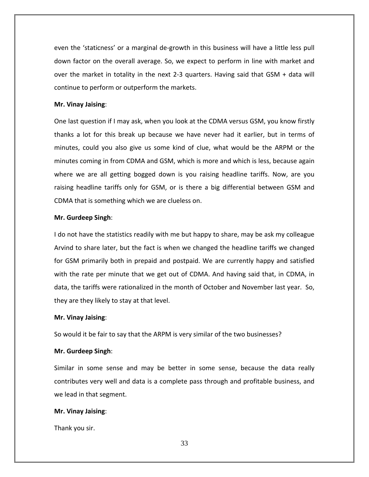even the 'staticness' or a marginal de‐growth in this business will have a little less pull down factor on the overall average. So, we expect to perform in line with market and over the market in totality in the next 2‐3 quarters. Having said that GSM + data will continue to perform or outperform the markets.

### **Mr. Vinay Jaising**:

One last question if I may ask, when you look at the CDMA versus GSM, you know firstly thanks a lot for this break up because we have never had it earlier, but in terms of minutes, could you also give us some kind of clue, what would be the ARPM or the minutes coming in from CDMA and GSM, which is more and which is less, because again where we are all getting bogged down is you raising headline tariffs. Now, are you raising headline tariffs only for GSM, or is there a big differential between GSM and CDMA that is something which we are clueless on.

### **Mr. Gurdeep Singh**:

I do not have the statistics readily with me but happy to share, may be ask my colleague Arvind to share later, but the fact is when we changed the headline tariffs we changed for GSM primarily both in prepaid and postpaid. We are currently happy and satisfied with the rate per minute that we get out of CDMA. And having said that, in CDMA, in data, the tariffs were rationalized in the month of October and November last year. So, they are they likely to stay at that level.

### **Mr. Vinay Jaising**:

So would it be fair to say that the ARPM is very similar of the two businesses?

### **Mr. Gurdeep Singh**:

Similar in some sense and may be better in some sense, because the data really contributes very well and data is a complete pass through and profitable business, and we lead in that segment.

### **Mr. Vinay Jaising**:

Thank you sir.